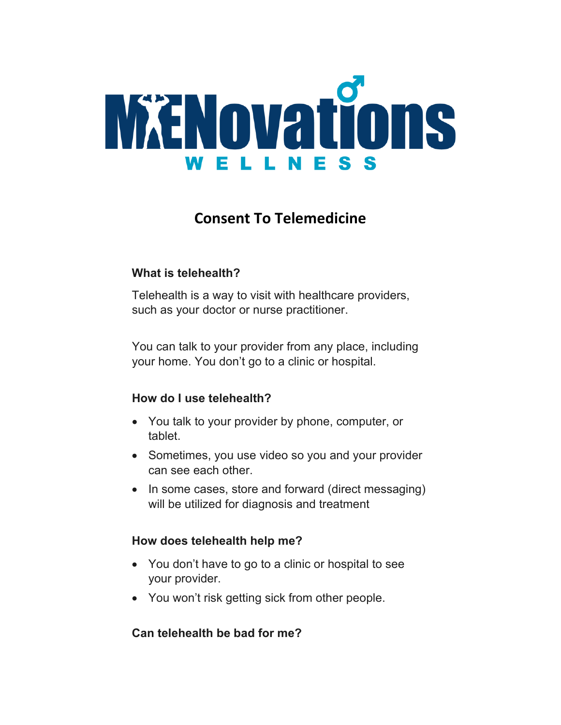

# **Consent To Telemedicine**

## **What is telehealth?**

Telehealth is a way to visit with healthcare providers, such as your doctor or nurse practitioner.

You can talk to your provider from any place, including your home. You don't go to a clinic or hospital.

#### **How do I use telehealth?**

- You talk to your provider by phone, computer, or tablet.
- Sometimes, you use video so you and your provider can see each other.
- In some cases, store and forward (direct messaging) will be utilized for diagnosis and treatment

#### **How does telehealth help me?**

- You don't have to go to a clinic or hospital to see your provider.
- You won't risk getting sick from other people.

## **Can telehealth be bad for me?**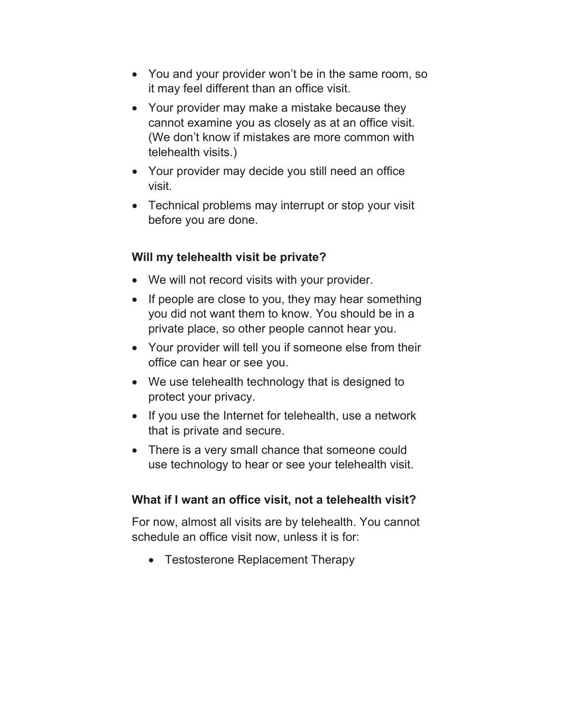- You and your provider won't be in the same room, so it may feel different than an office visit.
- Your provider may make a mistake because they cannot examine you as closely as at an office visit. (We don't know if mistakes are more common with telehealth visits.)
- Your provider may decide you still need an office visit.
- Technical problems may interrupt or stop your visit before you are done.

## **Will my telehealth visit be private?**

- We will not record visits with your provider.
- If people are close to you, they may hear something you did not want them to know. You should be in a private place, so other people cannot hear you.
- Your provider will tell you if someone else from their office can hear or see you.
- We use telehealth technology that is designed to protect your privacy.
- If you use the Internet for telehealth, use a network that is private and secure.
- There is a very small chance that someone could use technology to hear or see your telehealth visit.

## **What if I want an office visit, not a telehealth visit?**

For now, almost all visits are by telehealth. You cannot schedule an office visit now, unless it is for:

• Testosterone Replacement Therapy